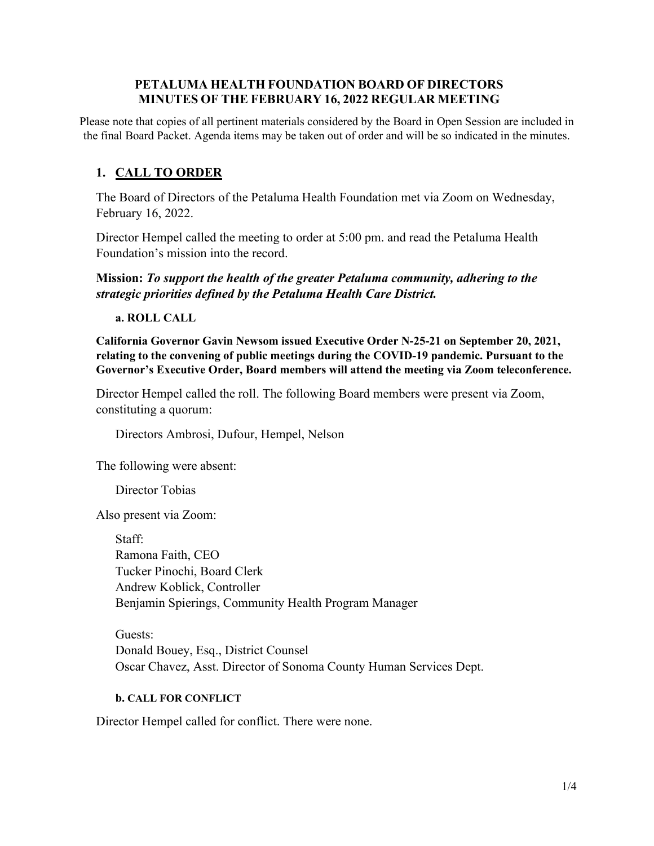### **PETALUMA HEALTH FOUNDATION BOARD OF DIRECTORS MINUTES OF THE FEBRUARY 16, 2022 REGULAR MEETING**

Please note that copies of all pertinent materials considered by the Board in Open Session are included in the final Board Packet. Agenda items may be taken out of order and will be so indicated in the minutes.

# **1. CALL TO ORDER**

The Board of Directors of the Petaluma Health Foundation met via Zoom on Wednesday, February 16, 2022.

Director Hempel called the meeting to order at 5:00 pm. and read the Petaluma Health Foundation's mission into the record.

**Mission:** *To support the health of the greater Petaluma community, adhering to the strategic priorities defined by the Petaluma Health Care District.*

**a. ROLL CALL**

**California Governor Gavin Newsom issued Executive Order N-25-21 on September 20, 2021, relating to the convening of public meetings during the COVID-19 pandemic. Pursuant to the Governor's Executive Order, Board members will attend the meeting via Zoom teleconference.**

Director Hempel called the roll. The following Board members were present via Zoom, constituting a quorum:

Directors Ambrosi, Dufour, Hempel, Nelson

The following were absent:

Director Tobias

Also present via Zoom:

Staff: Ramona Faith, CEO Tucker Pinochi, Board Clerk Andrew Koblick, Controller Benjamin Spierings, Community Health Program Manager

Guests: Donald Bouey, Esq., District Counsel Oscar Chavez, Asst. Director of Sonoma County Human Services Dept.

#### **b. CALL FOR CONFLICT**

Director Hempel called for conflict. There were none.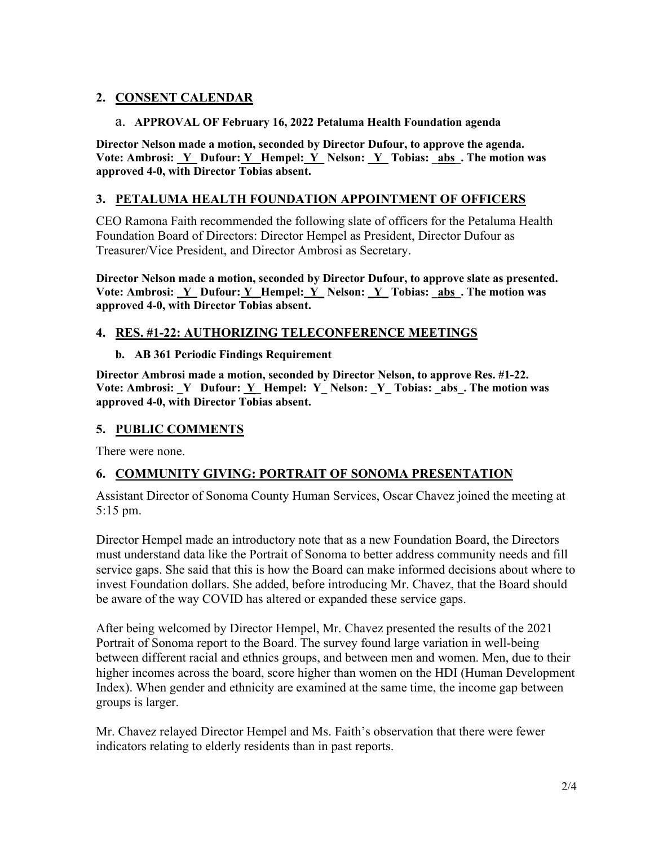# **2. CONSENT CALENDAR**

#### a. **APPROVAL OF February 16, 2022 Petaluma Health Foundation agenda**

**Director Nelson made a motion, seconded by Director Dufour, to approve the agenda.** Vote: Ambrosi: <u>Y\_</u> Dufour: <u>Y\_ Hempel: Y\_</u> Nelson: <u>Y\_Tobias: \_abs\_. The motion was</u> **approved 4-0, with Director Tobias absent.** 

# **3. PETALUMA HEALTH FOUNDATION APPOINTMENT OF OFFICERS**

CEO Ramona Faith recommended the following slate of officers for the Petaluma Health Foundation Board of Directors: Director Hempel as President, Director Dufour as Treasurer/Vice President, and Director Ambrosi as Secretary.

**Director Nelson made a motion, seconded by Director Dufour, to approve slate as presented.** Vote: Ambrosi: <u>Y\_</u> Dufour: <u>Y\_ Hempel: Y\_</u> Nelson: <u>Y\_Tobias: \_abs\_. The motion was</u> **approved 4-0, with Director Tobias absent.** 

## **4. RES. #1-22: AUTHORIZING TELECONFERENCE MEETINGS**

#### **b. AB 361 Periodic Findings Requirement**

**Director Ambrosi made a motion, seconded by Director Nelson, to approve Res. #1-22.** Vote: Ambrosi: Y\_ Dufour: Y\_ Hempel: Y\_ Nelson: Y\_ Tobias: \_abs\_. The motion was **approved 4-0, with Director Tobias absent.**

# **5. PUBLIC COMMENTS**

There were none.

## **6. COMMUNITY GIVING: PORTRAIT OF SONOMA PRESENTATION**

Assistant Director of Sonoma County Human Services, Oscar Chavez joined the meeting at 5:15 pm.

Director Hempel made an introductory note that as a new Foundation Board, the Directors must understand data like the Portrait of Sonoma to better address community needs and fill service gaps. She said that this is how the Board can make informed decisions about where to invest Foundation dollars. She added, before introducing Mr. Chavez, that the Board should be aware of the way COVID has altered or expanded these service gaps.

After being welcomed by Director Hempel, Mr. Chavez presented the results of the 2021 Portrait of Sonoma report to the Board. The survey found large variation in well-being between different racial and ethnics groups, and between men and women. Men, due to their higher incomes across the board, score higher than women on the HDI (Human Development Index). When gender and ethnicity are examined at the same time, the income gap between groups is larger.

Mr. Chavez relayed Director Hempel and Ms. Faith's observation that there were fewer indicators relating to elderly residents than in past reports.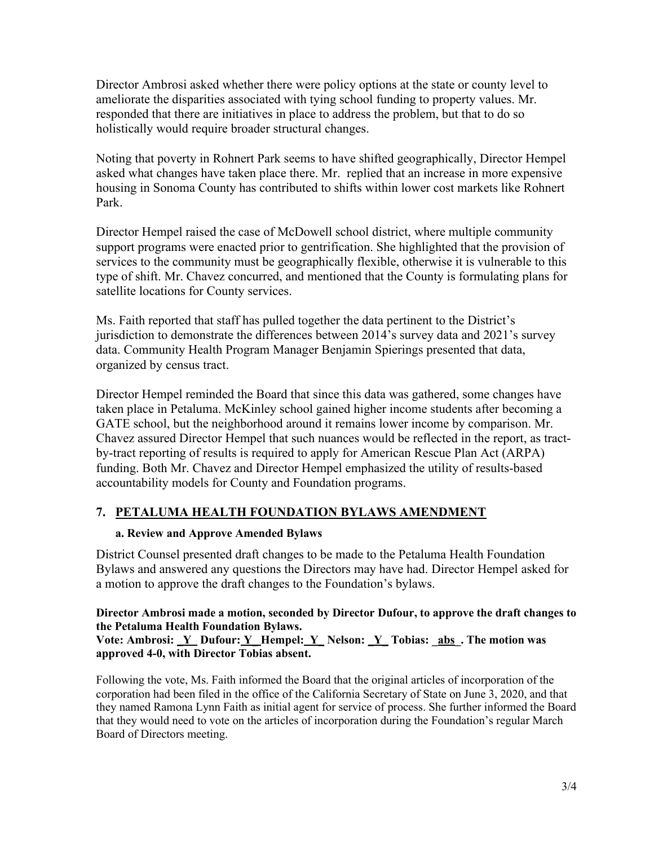Director Ambrosi asked whether there were policy options at the state or county level to ameliorate the disparities associated with tying school funding to property values. Mr. responded that there are initiatives in place to address the problem, but that to do so holistically would require broader structural changes.

Noting that poverty in Rohnert Park seems to have shifted geographically, Director Hempel asked what changes have taken place there. Mr. replied that an increase in more expensive housing in Sonoma County has contributed to shifts within lower cost markets like Rohnert Park.

Director Hempel raised the case of McDowell school district, where multiple community support programs were enacted prior to gentrification. She highlighted that the provision of services to the community must be geographically flexible, otherwise it is vulnerable to this type of shift. Mr. Chavez concurred, and mentioned that the County is formulating plans for satellite locations for County services.

Ms. Faith reported that staff has pulled together the data pertinent to the District's jurisdiction to demonstrate the differences between 2014's survey data and 2021's survey data. Community Health Program Manager Benjamin Spierings presented that data, organized by census tract.

Director Hempel reminded the Board that since this data was gathered, some changes have taken place in Petaluma. McKinley school gained higher income students after becoming a GATE school, but the neighborhood around it remains lower income by comparison. Mr. Chavez assured Director Hempel that such nuances would be reflected in the report, as tractby-tract reporting of results is required to apply for American Rescue Plan Act (ARPA) funding. Both Mr. Chavez and Director Hempel emphasized the utility of results-based accountability models for County and Foundation programs.

# **7. PETALUMA HEALTH FOUNDATION BYLAWS AMENDMENT**

## **a. Review and Approve Amended Bylaws**

District Counsel presented draft changes to be made to the Petaluma Health Foundation Bylaws and answered any questions the Directors may have had. Director Hempel asked for a motion to approve the draft changes to the Foundation's bylaws.

# **Director Ambrosi made a motion, seconded by Director Dufour, to approve the draft changes to the Petaluma Health Foundation Bylaws.**

**Vote: Ambrosi: \_Y Dufour: Y\_ Hempel: Y\_ Nelson: \_Y\_ Tobias: \_abs\_. The motion was approved 4-0, with Director Tobias absent.** 

Following the vote, Ms. Faith informed the Board that the original articles of incorporation of the corporation had been filed in the office of the California Secretary of State on June 3, 2020, and that they named Ramona Lynn Faith as initial agent for service of process. She further informed the Board that they would need to vote on the articles of incorporation during the Foundation's regular March Board of Directors meeting.